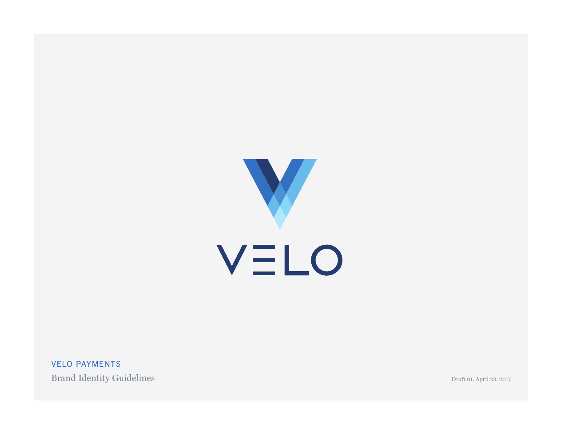

VELO PAYMENTS Brand Identity Guidelines

Draft 01. April 28, 2017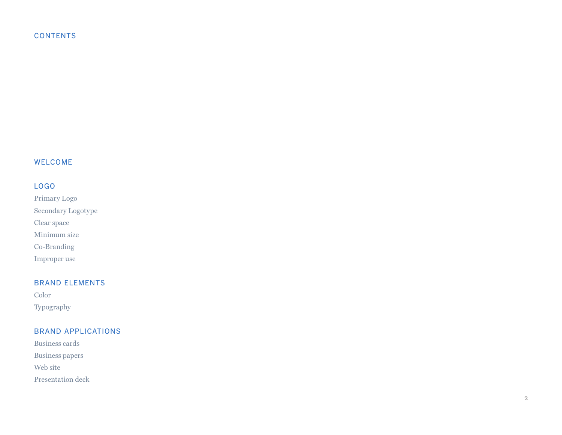# **CONTENTS**

# WELCOME

# LOGO

Primary Logo Secondary Logotype Clear space Minimum size Co-Branding Improper use

# BRAND ELEMENTS

Color Typography

# BRAND APPLICATIONS

Business cards Business papers Web site Presentation deck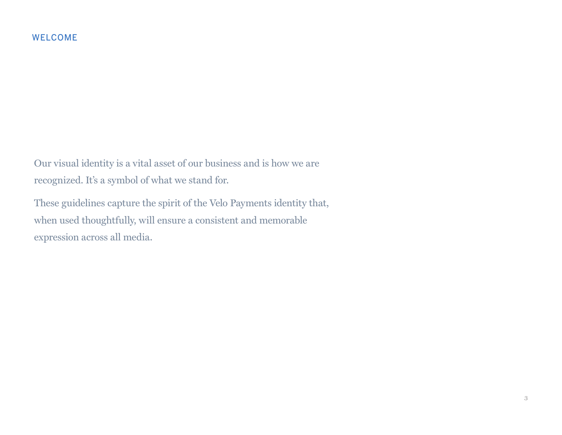Our visual identity is a vital asset of our business and is how we are recognized. It's a symbol of what we stand for.

These guidelines capture the spirit of the Velo Payments identity that, when used thoughtfully, will ensure a consistent and memorable expression across all media.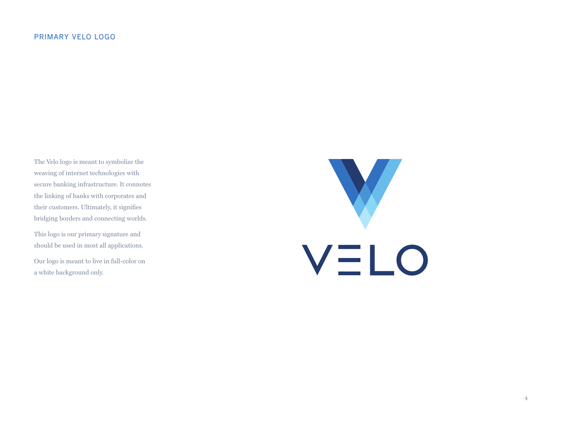# PRIMARY VELO LOGO

The Velo logo is meant to symbolize the weaving of internet technologies with secure banking infrastructure. It connotes the linking of banks with corporates and their customers. Ultimately, it signifies bridging borders and connecting worlds.

This logo is our primary signature and should be used in most all applications.

Our logo is meant to live in full-color on a white background only.

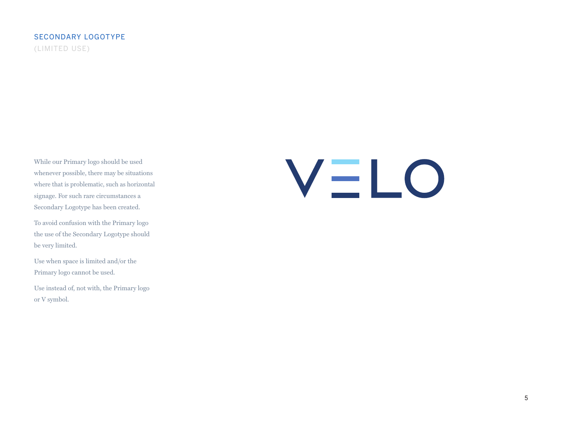# SECONDARY LOGOTYPE (LIMITED USE)

While our Primary logo should be used whenever possible, there may be situations where that is problematic, such as horizontal signage. For such rare circumstances a Secondary Logotype has been created.

To avoid confusion with the Primary logo the use of the Secondary Logotype should be very limited.

Use when space is limited and/or the Primary logo cannot be used.

Use instead of, not with, the Primary logo or V symbol.

# VELO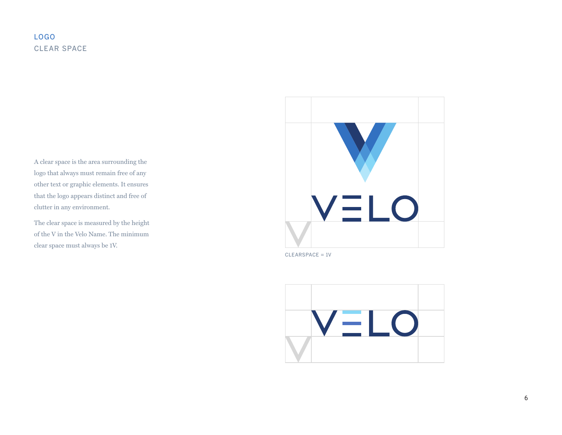# LOGO CLEAR SPACE

A clear space is the area surrounding the logo that always must remain free of any other text or graphic elements. It ensures that the logo appears distinct and free of clutter in any environment.

The clear space is measured by the height of the V in the Velo Name. The minimum clear space must always be 1V.



CLEARSPACE = 1V

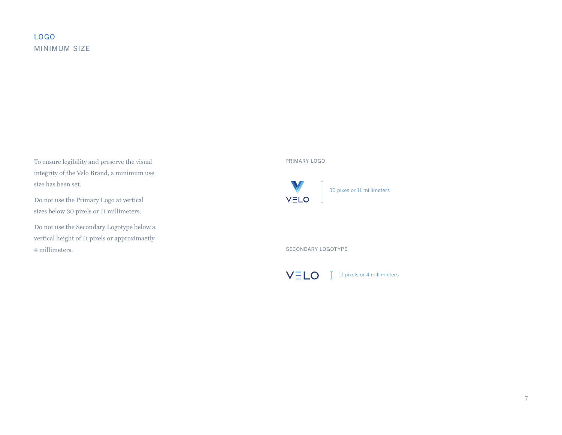# LOGO MINIMUM SIZE

To ensure legibility and preserve the visual integrity of the Velo Brand, a minimum use size has been set.

Do not use the Primary Logo at vertical sizes below 30 pixels or 11 millimeters.

Do not use the Secondary Logotype below a vertical height of 11 pixels or approximaetly 4 millimeters.

# PRIMARY LOGO



30 pixes or 11 millimeters

SECONDARY LOGOTYPE



11 pixels or 4 millimieters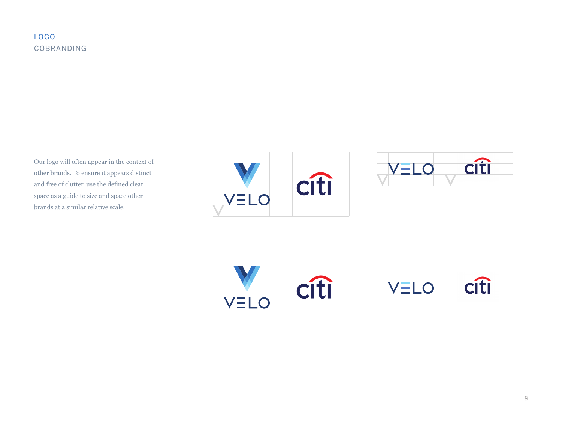# LOGO COBRANDING

Our logo will often appear in the context of other brands. To ensure it appears distinct and free of clutter, use the defined clear space as a guide to size and space other brands at a similar relative scale.





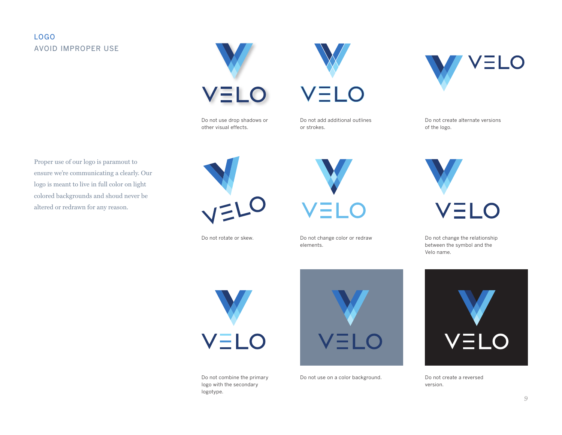# LOGO AVOID IMPROPER USE

Proper use of our logo is paramout to ensure we're communicating a clearly. Our logo is meant to live in full color on light colored backgrounds and shoud never be





Do not add additional outlines or strokes.

VELO



Do not create alternate versions of the logo.



Do not change the relationship between the symbol and the Velo name.

altered or redrawn for any reason.



Do not rotate or skew.



Do not change color or redraw elements.



Do not combine the primary logo with the secondary logotype.



Do not use on a color background.



Do not create a reversed version.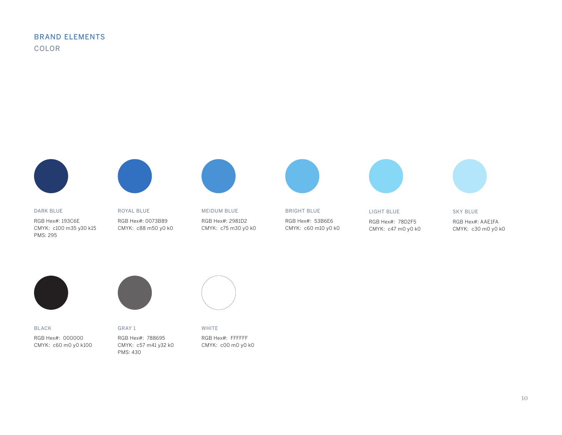# BRAND ELEMENTS COLOR



DARK BLUE RGB Hex#: 193C6E CMYK: c100 m35 y30 k15 PMS: 295

ROYAL BLUE RGB Hex#: 0073B89 CMYK: c88 m50 y0 k0



MEIDUM BLUE RGB Hex#: 2981D2 CMYK: c75 m30 y0 k0



BRIGHT BLUE RGB Hex#: 53B6E6 CMYK: c60 m10 y0 k0



LIGHT BLUE RGB Hex#: 78D2F5 CMYK: c47 m0 y0 k0

SKY BLUE RGB Hex#: AAE1FA CMYK: c30 m0 y0 k0



BLACK RGB Hex#: 000000 CMYK: c60 m0 y0 k100

RGB Hex#: 788695 CMYK: c57 m41 y32 k0

GRAY 1

PMS: 430



WHITE

RGB Hex#: FFFFFF CMYK: c00 m0 y0 k0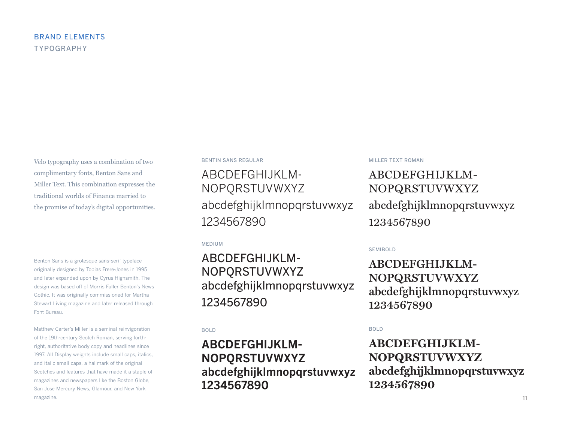Velo typography uses a combination of two complimentary fonts, Benton Sans and Miller Text. This combination expresses the traditional worlds of Finance married to the promise of today's digital opportunities.

Benton Sans is a grotesque sans-serif typeface originally designed by Tobias Frere-Jones in 1995 and later expanded upon by Cyrus Highsmith. The design was based off of Morris Fuller Benton's News Gothic. It was originally commissioned for Martha Stewart Living magazine and later released through Font Bureau.

Matthew Carter's Miller is a seminal reinvigoration of the 19th-century Scotch Roman, serving forthright, authoritative body copy and headlines since 1997. All Display weights include small caps, italics, and italic small caps, a hallmark of the original Scotches and features that have made it a staple of magazines and newspapers like the Boston Globe, San Jose Mercury News, Glamour, and New York magazine.

### BENTIN SANS REGULAR

ABCDEFGHIJKLM-NOPQRSTUVWXYZ abcdefghijklmnopqrstuvwxyz 1234567890

MEDIUM

ABCDEFGHIJKLM-NOPQRSTUVWXYZ abcdefghijklmnopqrstuvwxyz 1234567890

### BOLD

# **ABCDEFGHIJKLM-NOPQRSTUVWXYZ abcdefghijklmnopqrstuvwxyz 1234567890**

### MILLER TEXT ROMAN

ABCDEFGHIJKLM-NOPQRSTUVWXYZ abcdefghijklmnopqrstuvwxyz 1234567890

SEMIBOLD

**ABCDEFGHIJKLM-NOPQRSTUVWXYZ abcdefghijklmnopqrstuvwxyz 1234567890**

BOLD

**ABCDEFGHIJKLM-NOPQRSTUVWXYZ abcdefghijklmnopqrstuvwxyz 1234567890**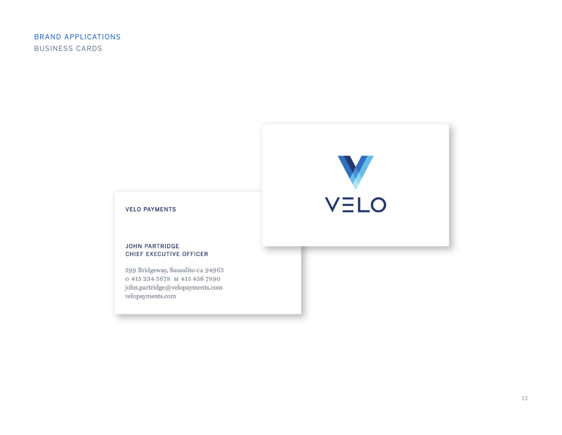

# **VELO PAYMENTS**

## **JOHN PARTRIDGE** CHIEF EXECUTIVE OFFICER

599 Bridgeway, Sausalito CA 94965 o 415 234 5678 M 415 456 7890  ${\tt john.partridge@velopayments.com}$ velopayments.com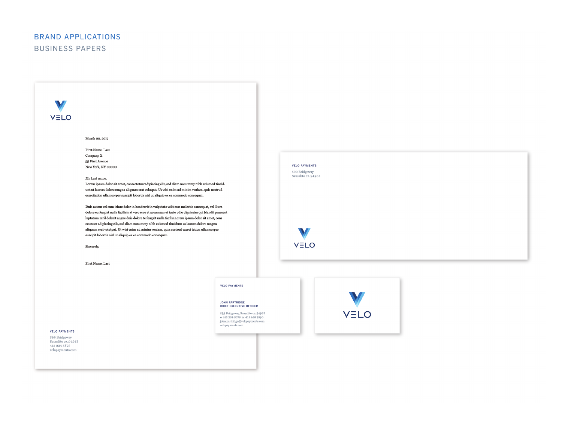# BRAND APPLICATIONS BUSINESS PAPERS

V VELO

Month 00, 2017

First Name, Last Company X 99 First Avenue New York, NY 00000

### Mr Last name,

Lorem ipsum dolor sit amet, consectetueradipiscing elit, sed diam nonummy nibh euismod tincidunt ut laoreet dolore magna aliquam erat volutpat. Ut wisi enim ad minim veniam, quis nostrud exercitation ullamcorper suscipit lobortis nisl ut aliquip ex ea commodo consequat.

 $\label{eq:2} \textbf{Duis}\ \text{autem}\ \text{vel}\ \text{eum}\ \text{iriure}\ \text{dolor}\ \text{in}\ \text{hendrerit}\ \text{in}\ \text{vulputate}\ \text{velit}\ \text{esse}\ \text{molestie}\ \text{consequent}\ \text{vel}\ \text{illum}$ dolore eu feugiat nulla facilisis at vero eros et accumsan et iusto odio dignissim qui blandit praesent luptatum zzril delenit augue duis dolore te feugait nulla facilisiLorem ipsum dolor sit amet, cons ectetuer adipiscing elit, sed diam nonummy nibh euismod tincidunt ut laoreet dolore magna aliquam erat volutpat. Ut wisi enim ad minim veniam, quis nostrud exerci tation ullamcorper suscipit lobortis nisl ut aliquip ex ea commodo consequat.

Sincerely,

First Name, Last

### **VELO PAYMENTS**

JOHN PARTRIDGE<br>CHIEF EXECUTIVE OFFICER

599 Bridgeway, Sausalito ca 94965 0 415 234 5678 M 415 456 7890  ${\small \textit{John}.\textit{partridge@velopayments.com}}\\ \textit{velopayments.com}$ 



**VELO PAYMENTS** 

599 Bridgeway<br>Sausalito ca 94965

VELO

**VELO PAYMENTS** 

599 Bridgeway Sausalito CA 94965 415 234 5678 velopayments.com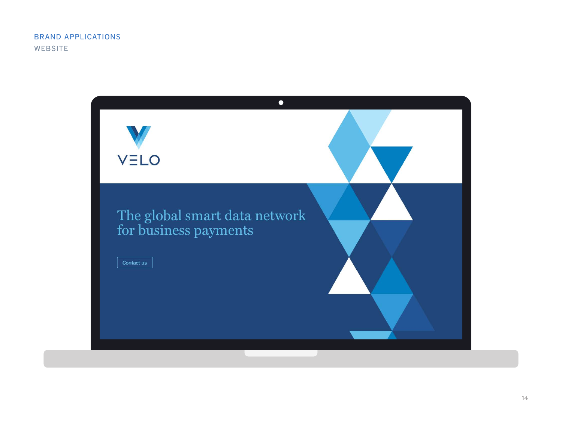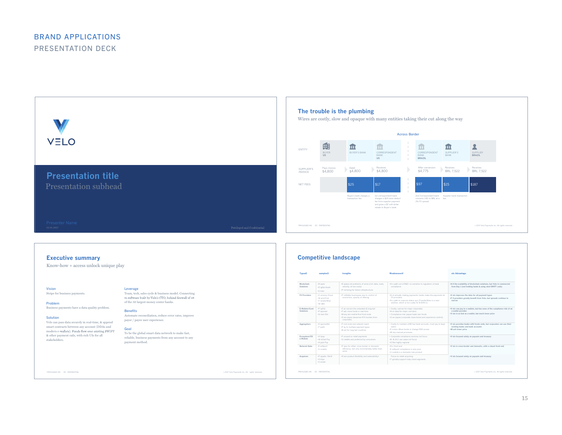

### **Executive summary**

### Know-how + access unlock unique play

Vision

Stripe for business payments.

Problem Business payments have a data quality problem.

### Solution

Velo can pass data securely in real-time, & append smart contracts between any account (DDAs and modern e-wallets). Funds flow over existing SWIFT & other payment rails, with rich UIs for all stakeholders.

Leverage Team, tech, sales cycle & business model. Connecting<br>to software built by Velo's CTO, behind firewall of 38 of the 50 largest money center banks.

Benefits Automate reconciliation, reduce error rates, improve payor / payee user experience.

### Goal To be the global smart data network to make fast, reliable, business payments from any account to any payment method.

PRIVILEGED AN DC ONFIDENTIAL . 2007 Velo Payments Inc. All rights reserved .

| <b>TypesE</b>                  | xamplesS                                                        | trengths                                                                                                                                                              | WeaknessesV                                                                                                                                                                          | elo Advantage                                                                                                                                      |
|--------------------------------|-----------------------------------------------------------------|-----------------------------------------------------------------------------------------------------------------------------------------------------------------------|--------------------------------------------------------------------------------------------------------------------------------------------------------------------------------------|----------------------------------------------------------------------------------------------------------------------------------------------------|
| <b>Rlockchain</b><br>Solutions | +R jople<br>.D igital Asset<br>+C hain                          | .R eplace all problems of wires (rich data, scale,<br>velocity, at low costs)<br>+P romising for future infrastructure                                                | .N o path out of R&D: no narrative to regulators or bank<br>compliance                                                                                                               | *A II the scalability of blockchain solutions, but Velo is commercial<br>from Day 1 (not holding funds & using stnd SWIFT code)                    |
| <b>FX Providers</b>            | .C urrency Cloud<br>.W odd First<br>.T randerWise<br>$2911 W +$ | +P rofitable businesses due to control of<br>economics, opacity of offering                                                                                           | .N ot actually making payments: banks make the payments for<br>FX providers<br>+N o path to improve status quo (TransferWise is a card<br>solution, which is too costly for B-B/B-C) | .V elo improves the data for all payment types<br>.F X providers greatly benefit from Velo, but spreads continue to<br>narrow                      |
| F-Wallets/Card<br>Solutions    | +P avPal<br>+P avoneer<br>.G reen Dot                           | .C an service the unbanked & long-tail<br>.F ast: move funds in real-time<br>.M any are mobile-first front ends<br>.O wn payee (assumes KYC burden from<br>corporate) | · Costly, narrow for major corporates<br>.N ot ideal for major corridors<br>· Compliance risk: payee loads own funds<br>.O wn payee (corporate loses brand and experience control)   | .V elo can pay to e-wallets, but has none of the compliance risk of an<br>e-wallet provider<br>.V elo is as fast as e-wallet, but much lower price |
| Aggregators                    | .H vperwallet<br>·T ipalti                                      | .F root ends and network reach<br>+P ay to multiple payment types<br>+B est for long-tail countries                                                                   | . Costly to maintain (HW has bank accounts, must pay to keep<br>open)<br>.F riction: Move funds or change DDA access<br>.M any manual processes                                      | .V elo provides banks with fronts ends, but corporates can use their<br>existing banks and bank accounts<br>.M uch lower price                     |
| Ecosystem/OS<br>e-Wallets      | +A lipay<br>.W eChat Pav<br>.A pple Pay                         | +F ocused on retail payments<br>.S calable and preferred by consumers                                                                                                 | · Corporate compliance services not focus<br>+R -R R-C use cases not focus.<br>+O ften highly regional                                                                               | .V elo focused solely on payouts and treasury                                                                                                      |
| Network Hubs                   | +E arthport<br>·V ocalink                                       | +P ipes for either cross-border or domestic<br>efficiency, but only incrementally better than<br>wires                                                                | .N o front end<br>+E arthport compliance is very poor<br>.V ocalink is a domestic hub product                                                                                        | .V elo is cross-border and domestic, with a robust front end                                                                                       |
| Acquirers                      | .P aysafe /Skrill<br>+S tripe<br>.V erntel                      | .H ave product flexibility and extensibility-                                                                                                                         | Focus on retail acquiring<br>. T voically support risky client segments                                                                                                              | .V elo focused solely on payouts and treasury                                                                                                      |